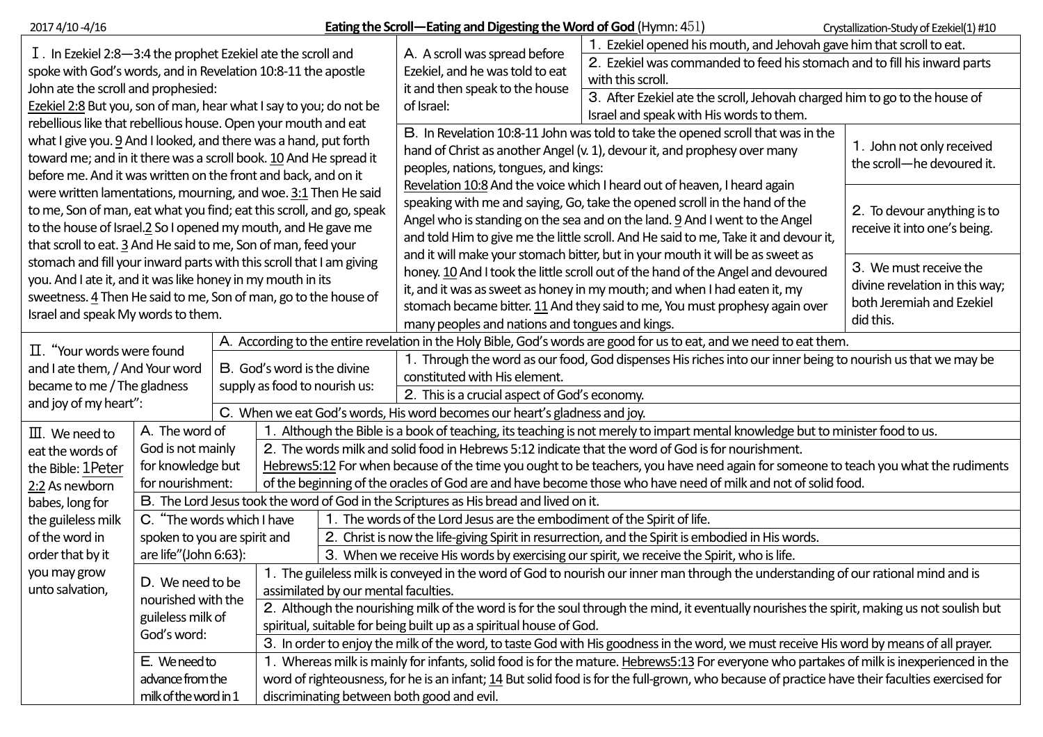| 2017 4/10 -4/16                                                                                                                                                                                                                                                           |                                                                                        |  |                                                                                                                                                                             |                                                                                                                                                                                                                                          | <b>Eating the Scroll—Eating and Digesting the Word of God (Hymn: 451)</b><br>Crystallization-Study of Ezekiel(1) #10                                                                                                                                                                                                                                                              |                                                                                                                                                    |  |  |  |  |
|---------------------------------------------------------------------------------------------------------------------------------------------------------------------------------------------------------------------------------------------------------------------------|----------------------------------------------------------------------------------------|--|-----------------------------------------------------------------------------------------------------------------------------------------------------------------------------|------------------------------------------------------------------------------------------------------------------------------------------------------------------------------------------------------------------------------------------|-----------------------------------------------------------------------------------------------------------------------------------------------------------------------------------------------------------------------------------------------------------------------------------------------------------------------------------------------------------------------------------|----------------------------------------------------------------------------------------------------------------------------------------------------|--|--|--|--|
| $I$ . In Ezekiel 2:8-3:4 the prophet Ezekiel ate the scroll and<br>spoke with God's words, and in Revelation 10:8-11 the apostle                                                                                                                                          |                                                                                        |  |                                                                                                                                                                             |                                                                                                                                                                                                                                          | A. A scroll was spread before<br>Ezekiel, and he was told to eat                                                                                                                                                                                                                                                                                                                  | 1. Ezekiel opened his mouth, and Jehovah gave him that scroll to eat.<br>2. Ezekiel was commanded to feed his stomach and to fill his inward parts |  |  |  |  |
| John ate the scroll and prophesied:<br>Ezekiel 2:8 But you, son of man, hear what I say to you; do not be                                                                                                                                                                 |                                                                                        |  |                                                                                                                                                                             |                                                                                                                                                                                                                                          | it and then speak to the house<br>of Israel:                                                                                                                                                                                                                                                                                                                                      | with this scroll.<br>3. After Ezekiel ate the scroll, Jehovah charged him to go to the house of                                                    |  |  |  |  |
| rebellious like that rebellious house. Open your mouth and eat                                                                                                                                                                                                            |                                                                                        |  |                                                                                                                                                                             |                                                                                                                                                                                                                                          |                                                                                                                                                                                                                                                                                                                                                                                   | Israel and speak with His words to them.                                                                                                           |  |  |  |  |
| what I give you. 9 And I looked, and there was a hand, put forth<br>toward me; and in it there was a scroll book. 10 And He spread it<br>before me. And it was written on the front and back, and on it                                                                   |                                                                                        |  |                                                                                                                                                                             |                                                                                                                                                                                                                                          | B. In Revelation 10:8-11 John was told to take the opened scroll that was in the<br>hand of Christ as another Angel (v. 1), devour it, and prophesy over many<br>peoples, nations, tongues, and kings:                                                                                                                                                                            | 1. John not only received<br>the scroll-he devoured it.                                                                                            |  |  |  |  |
| were written lamentations, mourning, and woe. 3:1 Then He said<br>to me, Son of man, eat what you find; eat this scroll, and go, speak<br>to the house of Israel.2 So I opened my mouth, and He gave me<br>that scroll to eat. 3 And He said to me, Son of man, feed your |                                                                                        |  |                                                                                                                                                                             |                                                                                                                                                                                                                                          | Revelation 10:8 And the voice which I heard out of heaven, I heard again<br>speaking with me and saying, Go, take the opened scroll in the hand of the<br>Angel who is standing on the sea and on the land. 9 And I went to the Angel<br>and told Him to give me the little scroll. And He said to me, Take it and devour it,                                                     | 2. To devour anything is to<br>receive it into one's being.                                                                                        |  |  |  |  |
| stomach and fill your inward parts with this scroll that I am giving<br>you. And I ate it, and it was like honey in my mouth in its<br>sweetness. 4 Then He said to me, Son of man, go to the house of<br>Israel and speak My words to them.                              |                                                                                        |  |                                                                                                                                                                             |                                                                                                                                                                                                                                          | and it will make your stomach bitter, but in your mouth it will be as sweet as<br>honey. 10 And I took the little scroll out of the hand of the Angel and devoured<br>it, and it was as sweet as honey in my mouth; and when I had eaten it, my<br>stomach became bitter. 11 And they said to me, You must prophesy again over<br>many peoples and nations and tongues and kings. | 3. We must receive the<br>divine revelation in this way;<br>both Jeremiah and Ezekiel<br>did this.                                                 |  |  |  |  |
|                                                                                                                                                                                                                                                                           |                                                                                        |  |                                                                                                                                                                             |                                                                                                                                                                                                                                          | A. According to the entire revelation in the Holy Bible, God's words are good for us to eat, and we need to eat them.                                                                                                                                                                                                                                                             |                                                                                                                                                    |  |  |  |  |
| $\Pi$ . "Your words were found<br>and I ate them, / And Your word                                                                                                                                                                                                         |                                                                                        |  | B. God's word is the divine<br>supply as food to nourish us:                                                                                                                |                                                                                                                                                                                                                                          | 1. Through the word as our food, God dispenses His riches into our inner being to nourish us that we may be<br>constituted with His element.                                                                                                                                                                                                                                      |                                                                                                                                                    |  |  |  |  |
| became to me / The gladness<br>and joy of my heart":                                                                                                                                                                                                                      |                                                                                        |  |                                                                                                                                                                             |                                                                                                                                                                                                                                          | 2. This is a crucial aspect of God's economy.                                                                                                                                                                                                                                                                                                                                     |                                                                                                                                                    |  |  |  |  |
|                                                                                                                                                                                                                                                                           |                                                                                        |  |                                                                                                                                                                             |                                                                                                                                                                                                                                          | C. When we eat God's words, His word becomes our heart's gladness and joy.                                                                                                                                                                                                                                                                                                        |                                                                                                                                                    |  |  |  |  |
| $\mathbb{II}$ . We need to                                                                                                                                                                                                                                                | A. The word of                                                                         |  |                                                                                                                                                                             | 1. Although the Bible is a book of teaching, its teaching is not merely to impart mental knowledge but to minister food to us.                                                                                                           |                                                                                                                                                                                                                                                                                                                                                                                   |                                                                                                                                                    |  |  |  |  |
| eat the words of                                                                                                                                                                                                                                                          | God is not mainly                                                                      |  |                                                                                                                                                                             | 2. The words milk and solid food in Hebrews 5:12 indicate that the word of God is for nourishment.<br>Hebrews5:12 For when because of the time you ought to be teachers, you have need again for someone to teach you what the rudiments |                                                                                                                                                                                                                                                                                                                                                                                   |                                                                                                                                                    |  |  |  |  |
| the Bible: 1Peter                                                                                                                                                                                                                                                         | for knowledge but                                                                      |  |                                                                                                                                                                             |                                                                                                                                                                                                                                          |                                                                                                                                                                                                                                                                                                                                                                                   |                                                                                                                                                    |  |  |  |  |
| 2:2 As newborn                                                                                                                                                                                                                                                            | for nourishment:                                                                       |  |                                                                                                                                                                             |                                                                                                                                                                                                                                          | of the beginning of the oracles of God are and have become those who have need of milk and not of solid food.                                                                                                                                                                                                                                                                     |                                                                                                                                                    |  |  |  |  |
| babes, long for                                                                                                                                                                                                                                                           | B. The Lord Jesus took the word of God in the Scriptures as His bread and lived on it. |  |                                                                                                                                                                             |                                                                                                                                                                                                                                          |                                                                                                                                                                                                                                                                                                                                                                                   |                                                                                                                                                    |  |  |  |  |
| the guileless milk                                                                                                                                                                                                                                                        | C. "The words which I have                                                             |  |                                                                                                                                                                             |                                                                                                                                                                                                                                          | 1. The words of the Lord Jesus are the embodiment of the Spirit of life.                                                                                                                                                                                                                                                                                                          |                                                                                                                                                    |  |  |  |  |
| of the word in                                                                                                                                                                                                                                                            | spoken to you are spirit and                                                           |  |                                                                                                                                                                             | 2. Christ is now the life-giving Spirit in resurrection, and the Spirit is embodied in His words.                                                                                                                                        |                                                                                                                                                                                                                                                                                                                                                                                   |                                                                                                                                                    |  |  |  |  |
| order that by it                                                                                                                                                                                                                                                          | are life"(John 6:63):                                                                  |  |                                                                                                                                                                             | 3. When we receive His words by exercising our spirit, we receive the Spirit, who is life.                                                                                                                                               |                                                                                                                                                                                                                                                                                                                                                                                   |                                                                                                                                                    |  |  |  |  |
| you may grow<br>unto salvation,                                                                                                                                                                                                                                           | D. We need to be<br>nourished with the                                                 |  | 1. The guileless milk is conveyed in the word of God to nourish our inner man through the understanding of our rational mind and is<br>assimilated by our mental faculties. |                                                                                                                                                                                                                                          |                                                                                                                                                                                                                                                                                                                                                                                   |                                                                                                                                                    |  |  |  |  |
|                                                                                                                                                                                                                                                                           | guileless milk of                                                                      |  | 2. Although the nourishing milk of the word is for the soul through the mind, it eventually nourishes the spirit, making us not soulish but                                 |                                                                                                                                                                                                                                          |                                                                                                                                                                                                                                                                                                                                                                                   |                                                                                                                                                    |  |  |  |  |
|                                                                                                                                                                                                                                                                           | God's word:                                                                            |  |                                                                                                                                                                             |                                                                                                                                                                                                                                          | spiritual, suitable for being built up as a spiritual house of God.                                                                                                                                                                                                                                                                                                               |                                                                                                                                                    |  |  |  |  |
|                                                                                                                                                                                                                                                                           |                                                                                        |  |                                                                                                                                                                             | 3. In order to enjoy the milk of the word, to taste God with His goodness in the word, we must receive His word by means of all prayer.                                                                                                  |                                                                                                                                                                                                                                                                                                                                                                                   |                                                                                                                                                    |  |  |  |  |
|                                                                                                                                                                                                                                                                           | E. We need to                                                                          |  | 1. Whereas milk is mainly for infants, solid food is for the mature. Hebrews5:13 For everyone who partakes of milk is inexperienced in the                                  |                                                                                                                                                                                                                                          |                                                                                                                                                                                                                                                                                                                                                                                   |                                                                                                                                                    |  |  |  |  |
|                                                                                                                                                                                                                                                                           | advance from the                                                                       |  |                                                                                                                                                                             | word of righteousness, for he is an infant; 14 But solid food is for the full-grown, who because of practice have their faculties exercised for                                                                                          |                                                                                                                                                                                                                                                                                                                                                                                   |                                                                                                                                                    |  |  |  |  |
|                                                                                                                                                                                                                                                                           | milk of the word in 1<br>discriminating between both good and evil.                    |  |                                                                                                                                                                             |                                                                                                                                                                                                                                          |                                                                                                                                                                                                                                                                                                                                                                                   |                                                                                                                                                    |  |  |  |  |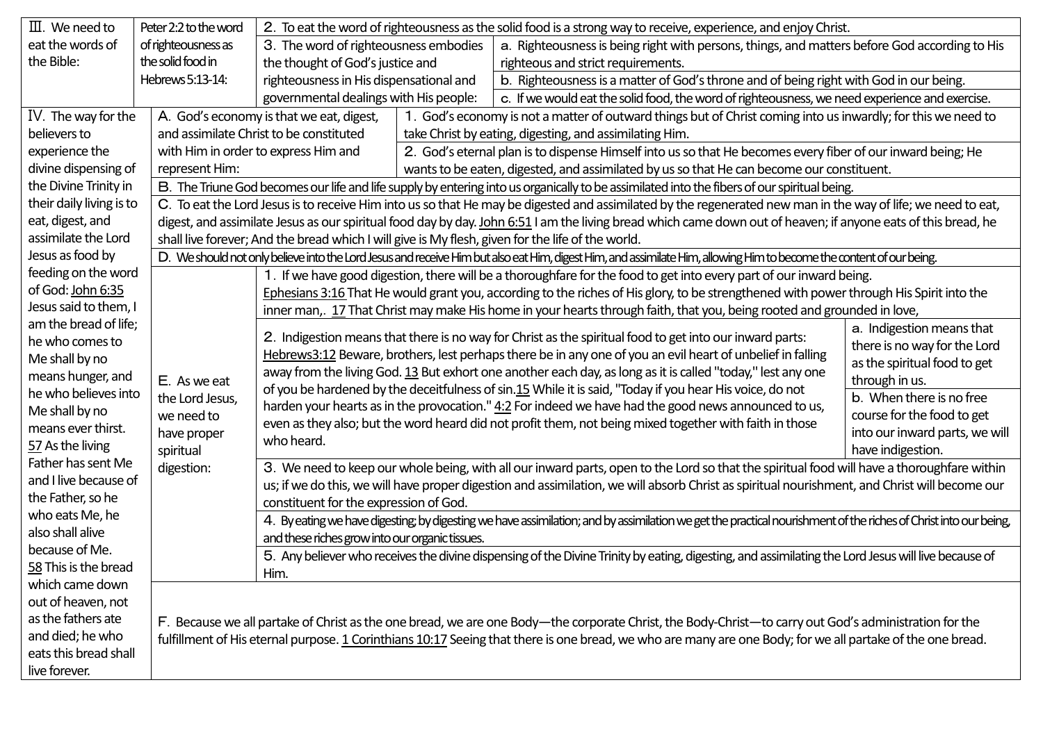| $\mathbb{II}$ . We need to             | Peter 2:2 to the word                                                                                                                                      | 2. To eat the word of righteousness as the solid food is a strong way to receive, experience, and enjoy Christ.                                                                                                                                                                                                                                                                                                                                      |                                                                                                                                               |                                                                                                                                                                      |  |  |  |  |  |  |
|----------------------------------------|------------------------------------------------------------------------------------------------------------------------------------------------------------|------------------------------------------------------------------------------------------------------------------------------------------------------------------------------------------------------------------------------------------------------------------------------------------------------------------------------------------------------------------------------------------------------------------------------------------------------|-----------------------------------------------------------------------------------------------------------------------------------------------|----------------------------------------------------------------------------------------------------------------------------------------------------------------------|--|--|--|--|--|--|
| eat the words of                       | of righteousness as                                                                                                                                        | 3. The word of righteousness embodies                                                                                                                                                                                                                                                                                                                                                                                                                |                                                                                                                                               | a. Righteousness is being right with persons, things, and matters before God according to His                                                                        |  |  |  |  |  |  |
| the Bible:                             | the solid food in                                                                                                                                          | the thought of God's justice and                                                                                                                                                                                                                                                                                                                                                                                                                     |                                                                                                                                               | righteous and strict requirements.                                                                                                                                   |  |  |  |  |  |  |
|                                        | Hebrews 5:13-14:                                                                                                                                           | righteousness in His dispensational and                                                                                                                                                                                                                                                                                                                                                                                                              |                                                                                                                                               | b. Righteousness is a matter of God's throne and of being right with God in our being.                                                                               |  |  |  |  |  |  |
|                                        |                                                                                                                                                            | governmental dealings with His people:                                                                                                                                                                                                                                                                                                                                                                                                               |                                                                                                                                               | c. If we would eat the solid food, the word of righteousness, we need experience and exercise.                                                                       |  |  |  |  |  |  |
| IV. The way for the                    |                                                                                                                                                            | 1. God's economy is not a matter of outward things but of Christ coming into us inwardly; for this we need to<br>A. God's economy is that we eat, digest,                                                                                                                                                                                                                                                                                            |                                                                                                                                               |                                                                                                                                                                      |  |  |  |  |  |  |
| believers to                           |                                                                                                                                                            | and assimilate Christ to be constituted                                                                                                                                                                                                                                                                                                                                                                                                              | take Christ by eating, digesting, and assimilating Him.                                                                                       |                                                                                                                                                                      |  |  |  |  |  |  |
| experience the                         |                                                                                                                                                            | with Him in order to express Him and                                                                                                                                                                                                                                                                                                                                                                                                                 | 2. God's eternal plan is to dispense Himself into us so that He becomes every fiber of our inward being; He                                   |                                                                                                                                                                      |  |  |  |  |  |  |
| divine dispensing of<br>represent Him: |                                                                                                                                                            |                                                                                                                                                                                                                                                                                                                                                                                                                                                      | wants to be eaten, digested, and assimilated by us so that He can become our constituent.                                                     |                                                                                                                                                                      |  |  |  |  |  |  |
| the Divine Trinity in                  |                                                                                                                                                            | B. The Triune God becomes our life and life supply by entering into us organically to be assimilated into the fibers of our spiritual being.                                                                                                                                                                                                                                                                                                         |                                                                                                                                               |                                                                                                                                                                      |  |  |  |  |  |  |
| their daily living is to               |                                                                                                                                                            | C. To eat the Lord Jesus is to receive Him into us so that He may be digested and assimilated by the regenerated new man in the way of life; we need to eat,                                                                                                                                                                                                                                                                                         |                                                                                                                                               |                                                                                                                                                                      |  |  |  |  |  |  |
| eat, digest, and                       |                                                                                                                                                            | digest, and assimilate Jesus as our spiritual food day by day. John 6:51 I am the living bread which came down out of heaven; if anyone eats of this bread, he                                                                                                                                                                                                                                                                                       |                                                                                                                                               |                                                                                                                                                                      |  |  |  |  |  |  |
| assimilate the Lord                    | shall live forever; And the bread which I will give is My flesh, given for the life of the world.                                                          |                                                                                                                                                                                                                                                                                                                                                                                                                                                      |                                                                                                                                               |                                                                                                                                                                      |  |  |  |  |  |  |
| Jesus as food by                       |                                                                                                                                                            |                                                                                                                                                                                                                                                                                                                                                                                                                                                      |                                                                                                                                               | D. We should not only believe into the Lord Jesus and receive Him but also eat Him, digest Him, and assimilate Him, allowing Him to become the content of our being. |  |  |  |  |  |  |
| feeding on the word                    |                                                                                                                                                            | 1. If we have good digestion, there will be a thoroughfare for the food to get into every part of our inward being.                                                                                                                                                                                                                                                                                                                                  |                                                                                                                                               |                                                                                                                                                                      |  |  |  |  |  |  |
| of God: John 6:35                      |                                                                                                                                                            | Ephesians 3:16 That He would grant you, according to the riches of His glory, to be strengthened with power through His Spirit into the                                                                                                                                                                                                                                                                                                              |                                                                                                                                               |                                                                                                                                                                      |  |  |  |  |  |  |
| Jesus said to them, I                  |                                                                                                                                                            | inner man,. 17 That Christ may make His home in your hearts through faith, that you, being rooted and grounded in love,                                                                                                                                                                                                                                                                                                                              |                                                                                                                                               |                                                                                                                                                                      |  |  |  |  |  |  |
| am the bread of life;                  |                                                                                                                                                            | a. Indigestion means that<br>2. Indigestion means that there is no way for Christ as the spiritual food to get into our inward parts:<br>there is no way for the Lord<br>Hebrews3:12 Beware, brothers, lest perhaps there be in any one of you an evil heart of unbelief in falling<br>as the spiritual food to get<br>away from the living God. 13 But exhort one another each day, as long as it is called "today," lest any one<br>through in us. |                                                                                                                                               |                                                                                                                                                                      |  |  |  |  |  |  |
| he who comes to                        |                                                                                                                                                            |                                                                                                                                                                                                                                                                                                                                                                                                                                                      |                                                                                                                                               |                                                                                                                                                                      |  |  |  |  |  |  |
| Me shall by no                         |                                                                                                                                                            |                                                                                                                                                                                                                                                                                                                                                                                                                                                      |                                                                                                                                               |                                                                                                                                                                      |  |  |  |  |  |  |
| means hunger, and                      | E. As we eat                                                                                                                                               |                                                                                                                                                                                                                                                                                                                                                                                                                                                      |                                                                                                                                               |                                                                                                                                                                      |  |  |  |  |  |  |
| he who believes into                   | the Lord Jesus,                                                                                                                                            | of you be hardened by the deceitfulness of sin.15 While it is said, "Today if you hear His voice, do not<br>b. When there is no free<br>harden your hearts as in the provocation." 4:2 For indeed we have had the good news announced to us,<br>course for the food to get<br>even as they also; but the word heard did not profit them, not being mixed together with faith in those<br>into our inward parts, we will                              |                                                                                                                                               |                                                                                                                                                                      |  |  |  |  |  |  |
| Me shall by no                         | we need to                                                                                                                                                 |                                                                                                                                                                                                                                                                                                                                                                                                                                                      |                                                                                                                                               |                                                                                                                                                                      |  |  |  |  |  |  |
| means ever thirst.                     | have proper                                                                                                                                                |                                                                                                                                                                                                                                                                                                                                                                                                                                                      |                                                                                                                                               |                                                                                                                                                                      |  |  |  |  |  |  |
| 57 As the living                       | spiritual                                                                                                                                                  | who heard.<br>have indigestion.                                                                                                                                                                                                                                                                                                                                                                                                                      |                                                                                                                                               |                                                                                                                                                                      |  |  |  |  |  |  |
| Father has sent Me                     | digestion:                                                                                                                                                 | 3. We need to keep our whole being, with all our inward parts, open to the Lord so that the spiritual food will have a thoroughfare within                                                                                                                                                                                                                                                                                                           |                                                                                                                                               |                                                                                                                                                                      |  |  |  |  |  |  |
| and I live because of                  |                                                                                                                                                            |                                                                                                                                                                                                                                                                                                                                                                                                                                                      | us; if we do this, we will have proper digestion and assimilation, we will absorb Christ as spiritual nourishment, and Christ will become our |                                                                                                                                                                      |  |  |  |  |  |  |
| the Father, so he                      | constituent for the expression of God.                                                                                                                     |                                                                                                                                                                                                                                                                                                                                                                                                                                                      |                                                                                                                                               |                                                                                                                                                                      |  |  |  |  |  |  |
| who eats Me, he                        |                                                                                                                                                            | 4. By eating we have digesting; by digesting we have assimilation; and by assimilation we get the practical nourishment of the riches of Christ into our being,                                                                                                                                                                                                                                                                                      |                                                                                                                                               |                                                                                                                                                                      |  |  |  |  |  |  |
| also shall alive                       |                                                                                                                                                            | and these riches grow into our organic tissues.                                                                                                                                                                                                                                                                                                                                                                                                      |                                                                                                                                               |                                                                                                                                                                      |  |  |  |  |  |  |
| because of Me.                         |                                                                                                                                                            | 5. Any believer who receives the divine dispensing of the Divine Trinity by eating, digesting, and assimilating the Lord Jesus will live because of                                                                                                                                                                                                                                                                                                  |                                                                                                                                               |                                                                                                                                                                      |  |  |  |  |  |  |
| 58 This is the bread                   |                                                                                                                                                            | Him.                                                                                                                                                                                                                                                                                                                                                                                                                                                 |                                                                                                                                               |                                                                                                                                                                      |  |  |  |  |  |  |
| which came down                        |                                                                                                                                                            |                                                                                                                                                                                                                                                                                                                                                                                                                                                      |                                                                                                                                               |                                                                                                                                                                      |  |  |  |  |  |  |
| out of heaven, not                     |                                                                                                                                                            |                                                                                                                                                                                                                                                                                                                                                                                                                                                      |                                                                                                                                               |                                                                                                                                                                      |  |  |  |  |  |  |
| as the fathers ate                     | F. Because we all partake of Christ as the one bread, we are one Body-the corporate Christ, the Body-Christ-to carry out God's administration for the      |                                                                                                                                                                                                                                                                                                                                                                                                                                                      |                                                                                                                                               |                                                                                                                                                                      |  |  |  |  |  |  |
| and died; he who                       | fulfillment of His eternal purpose. 1 Corinthians 10:17 Seeing that there is one bread, we who are many are one Body; for we all partake of the one bread. |                                                                                                                                                                                                                                                                                                                                                                                                                                                      |                                                                                                                                               |                                                                                                                                                                      |  |  |  |  |  |  |
| eats this bread shall                  |                                                                                                                                                            |                                                                                                                                                                                                                                                                                                                                                                                                                                                      |                                                                                                                                               |                                                                                                                                                                      |  |  |  |  |  |  |
| live forever.                          |                                                                                                                                                            |                                                                                                                                                                                                                                                                                                                                                                                                                                                      |                                                                                                                                               |                                                                                                                                                                      |  |  |  |  |  |  |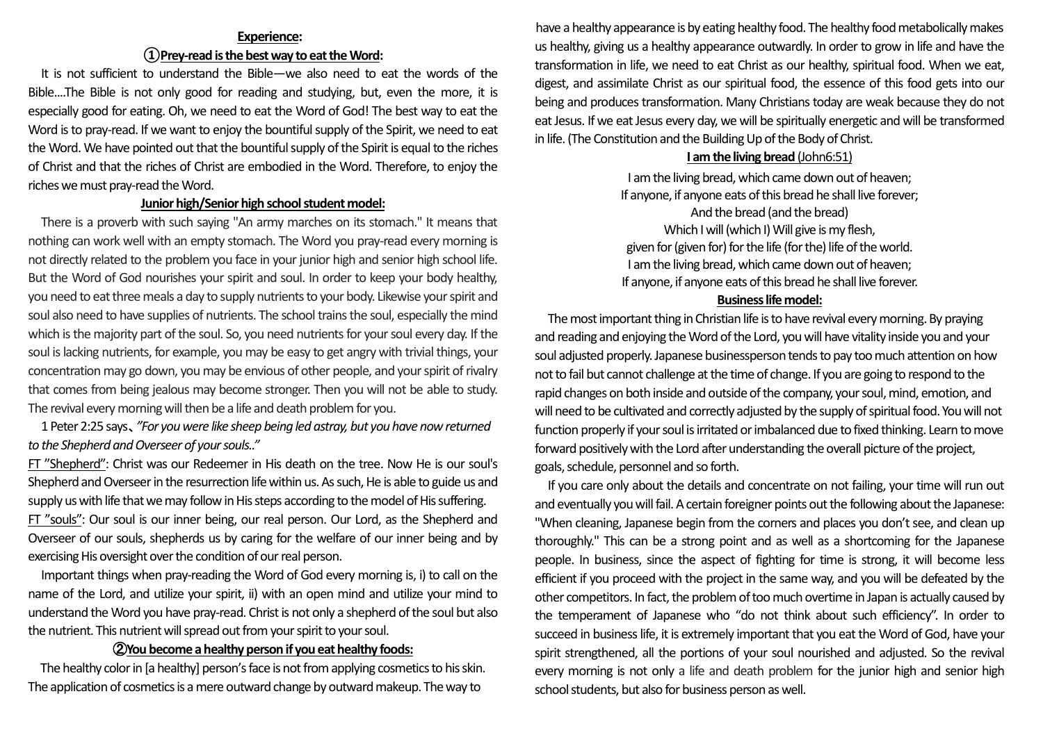# **Experience: ①Prey-read isthe best way to eat the Word:**

It is not sufficient to understand the Bible—we also need to eat the words of the Bible....The Bible is not only good for reading and studying, but, even the more, it is especially good for eating. Oh, we need to eat the Word of God! The best way to eat the Word is to pray-read. If we want to enjoy the bountiful supply of the Spirit, we need to eat the Word. We have pointed out that the bountiful supply of the Spirit is equal to the riches of Christ and that the riches of Christ are embodied in the Word. Therefore, to enjoy the riches we must pray-read the Word.

# **Junior high/Senior high school student model:**

There is a proverb with such saying "An army marches on its stomach." It means that nothing can work well with an empty stomach. The Word you pray-read every morning is not directly related to the problem you face in your junior high and senior high school life. But the Word of God nourishes your spirit and soul. In order to keep your body healthy, you need to eat three meals a day to supply nutrients to your body. Likewise your spirit and soul also need to have supplies of nutrients. The school trains the soul, especially the mind which is the majority part of the soul. So, you need nutrients for your soul every day. If the soul is lacking nutrients, for example, you may be easy to get angry with trivial things, your concentration may go down, you may be envious of other people, and your spirit of rivalry that comes from being jealous may become stronger. Then you will not be able to study. The revival every morning will then be a life and death problem for you.

1 Peter 2:25 says、*"For you were like sheep being led astray, but you have now returned to the Shepherd and Overseer of your souls.."*

FT "Shepherd": Christ was our Redeemer in His death on the tree. Now He is our soul's Shepherd and Overseer in the resurrection life within us. As such, He is able to guide us and supply us with life that we may follow in His steps according to the model of His suffering. FT "souls": Our soul is our inner being, our real person. Our Lord, as the Shepherd and Overseer of our souls, shepherds us by caring for the welfare of our inner being and by exercising His oversight over the condition of our real person.

Important things when pray-reading the Word of God every morning is, i) to call on the name of the Lord, and utilize your spirit, ii) with an open mind and utilize your mind to understand the Word you have pray-read. Christ is not only a shepherd of the soul but also the nutrient. This nutrient will spread out from your spirit to your soul.

## ②**You become a healthy person if you eat healthy foods:**

The healthy color in [a healthy] person's face is not from applying cosmetics to his skin. The application of cosmetics is a mere outward change by outward makeup. The way to

have a healthy appearance is by eating healthy food. The healthy food metabolically makes us healthy, giving us a healthy appearance outwardly. In order to grow in life and have the transformation in life, we need to eat Christ as our healthy, spiritual food. When we eat, digest, and assimilate Christ as our spiritual food, the essence of this food gets into our being and produces transformation. Many Christians today are weak because they do not eat Jesus. If we eat Jesus every day, we will be spiritually energetic and will be transformed in life. (The Constitution and the Building Up of the Body of Christ.

# **I am the living bread** (John6:51)

I am the living bread, which came down out of heaven; If anyone, if anyone eats of this bread he shall live forever; And the bread (and the bread) Which I will (which I) Will give is my flesh, given for (given for) for the life (for the) life of the world. I am the living bread, which came down out of heaven; If anyone, if anyone eats of this bread he shall live forever.

# **Business life model:**

The most important thing in Christian life is to have revival every morning. By praying and reading and enjoying the Word of the Lord, you will have vitality inside you and your soul adjusted properly. Japanese businessperson tends to pay too much attention on how not to fail but cannot challenge at the time of change. If you are going to respond to the rapid changes on both inside and outside of the company, your soul, mind, emotion, and will need to be cultivated and correctly adjusted by the supply of spiritual food. You will not function properly if your soul is irritated or imbalanced due to fixed thinking. Learn to move forward positively with the Lord after understanding the overall picture of the project, goals, schedule, personnel and so forth.

If you care only about the details and concentrate on not failing, your time will run out and eventually you will fail. A certain foreigner points out the following about the Japanese: "When cleaning, Japanese begin from the corners and places you don't see, and clean up thoroughly." This can be a strong point and as well as a shortcoming for the Japanese people. In business, since the aspect of fighting for time is strong, it will become less efficient if you proceed with the project in the same way, and you will be defeated by the other competitors. In fact, the problem of too much overtime in Japan is actually caused by the temperament of Japanese who "do not think about such efficiency". In order to succeed in business life, it is extremely important that you eat the Word of God, have your spirit strengthened, all the portions of your soul nourished and adjusted. So the revival every morning is not only a life and death problem for the junior high and senior high school students, but also for business person as well.